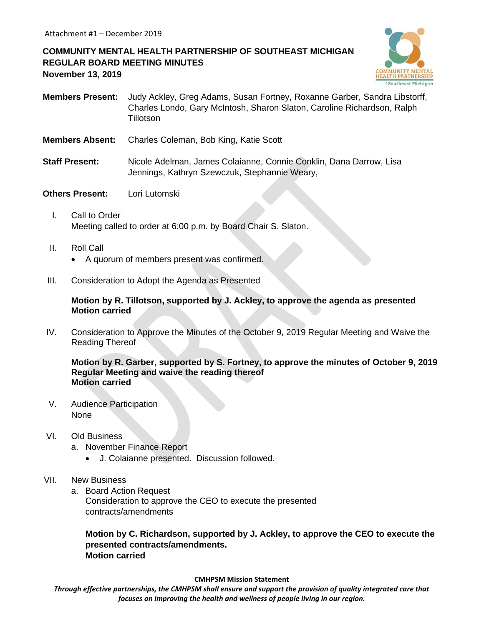**COMMUNITY MENTAL HEALTH PARTNERSHIP OF SOUTHEAST MICHIGAN REGULAR BOARD MEETING MINUTES November 13, 2019**



- **Members Present:** Judy Ackley, Greg Adams, Susan Fortney, Roxanne Garber, Sandra Libstorff, Charles Londo, Gary McIntosh, Sharon Slaton, Caroline Richardson, Ralph **Tillotson**
- **Members Absent:** Charles Coleman, Bob King, Katie Scott
- **Staff Present:** Nicole Adelman, James Colaianne, Connie Conklin, Dana Darrow, Lisa Jennings, Kathryn Szewczuk, Stephannie Weary,
- **Others Present:** Lori Lutomski
	- I. Call to Order Meeting called to order at 6:00 p.m. by Board Chair S. Slaton.
	- II. Roll Call
		- A quorum of members present was confirmed.
- III. Consideration to Adopt the Agenda as Presented

**Motion by R. Tillotson, supported by J. Ackley, to approve the agenda as presented Motion carried**

IV. Consideration to Approve the Minutes of the October 9, 2019 Regular Meeting and Waive the Reading Thereof

**Motion by R. Garber, supported by S. Fortney, to approve the minutes of October 9, 2019 Regular Meeting and waive the reading thereof Motion carried**

V. Audience Participation None

## VI. Old Business

- a. November Finance Report
	- J. Colaianne presented. Discussion followed.
- VII. New Business
	- a. Board Action Request Consideration to approve the CEO to execute the presented contracts/amendments

**Motion by C. Richardson, supported by J. Ackley, to approve the CEO to execute the presented contracts/amendments. Motion carried**

**CMHPSM Mission Statement**

*Through effective partnerships, the CMHPSM shall ensure and support the provision of quality integrated care that focuses on improving the health and wellness of people living in our region.*